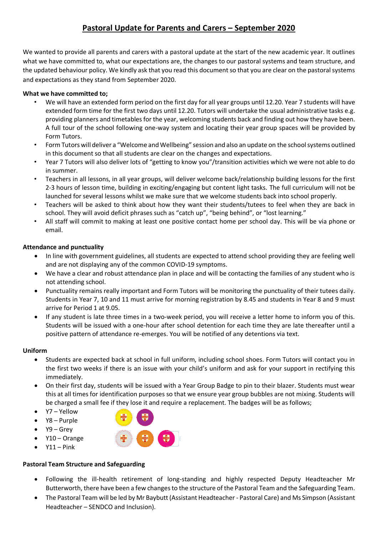We wanted to provide all parents and carers with a pastoral update at the start of the new academic year. It outlines what we have committed to, what our expectations are, the changes to our pastoral systems and team structure, and the updated behaviour policy. We kindly ask that you read this document so that you are clear on the pastoral systems and expectations as they stand from September 2020.

## **What we have committed to;**

- We will have an extended form period on the first day for all year groups until 12.20. Year 7 students will have extended form time for the first two days until 12.20. Tutors will undertake the usual administrative tasks e.g. providing planners and timetables for the year, welcoming students back and finding out how they have been. A full tour of the school following one-way system and locating their year group spaces will be provided by Form Tutors.
- Form Tutors will deliver a "Welcome and Wellbeing" session and also an update on the school systems outlined in this document so that all students are clear on the changes and expectations.
- Year 7 Tutors will also deliver lots of "getting to know you"/transition activities which we were not able to do in summer.
- Teachers in all lessons, in all year groups, will deliver welcome back/relationship building lessons for the first 2-3 hours of lesson time, building in exciting/engaging but content light tasks. The full curriculum will not be launched for several lessons whilst we make sure that we welcome students back into school properly.
- Teachers will be asked to think about how they want their students/tutees to feel when they are back in school. They will avoid deficit phrases such as "catch up", "being behind", or "lost learning."
- All staff will commit to making at least one positive contact home per school day. This will be via phone or email.

## **Attendance and punctuality**

- In line with government guidelines, all students are expected to attend school providing they are feeling well and are not displaying any of the common COVID-19 symptoms.
- We have a clear and robust attendance plan in place and will be contacting the families of any student who is not attending school.
- Punctuality remains really important and Form Tutors will be monitoring the punctuality of their tutees daily. Students in Year 7, 10 and 11 must arrive for morning registration by 8.45 and students in Year 8 and 9 must arrive for Period 1 at 9.05.
- If any student is late three times in a two-week period, you will receive a letter home to inform you of this. Students will be issued with a one-hour after school detention for each time they are late thereafter until a positive pattern of attendance re-emerges. You will be notified of any detentions via text.

### **Uniform**

- Students are expected back at school in full uniform, including school shoes. Form Tutors will contact you in the first two weeks if there is an issue with your child's uniform and ask for your support in rectifying this immediately.
- On their first day, students will be issued with a Year Group Badge to pin to their blazer. Students must wear this at all times for identification purposes so that we ensure year group bubbles are not mixing. Students will be charged a small fee if they lose it and require a replacement. The badges will be as follows;
- Y7 Yellow
- Y8 Purple
- Y9 Grey
- Y10 Orange
- $Y11 Pink$

# **Pastoral Team Structure and Safeguarding**

- Following the ill-health retirement of long-standing and highly respected Deputy Headteacher Mr Butterworth, there have been a few changes to the structure of the Pastoral Team and the Safeguarding Team.
- The Pastoral Team will be led by Mr Baybutt (Assistant Headteacher Pastoral Care) and Ms Simpson (Assistant Headteacher – SENDCO and Inclusion).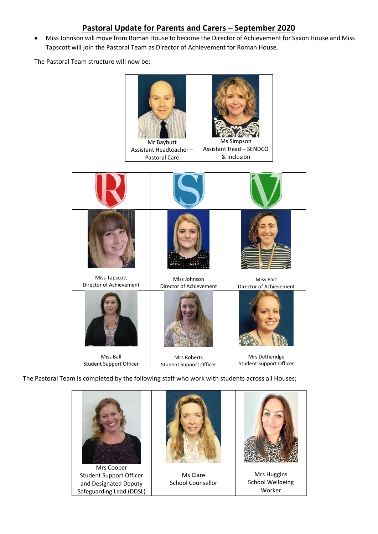• Miss Johnson will move from Roman House to become the Director of Achievement for Saxon House and Miss Tapscott will join the Pastoral Team as Director of Achievement for Roman House.

The Pastoral Team structure will now be;



The Pastoral Team is completed by the following staff who work with students across all Houses;



Student Support Officer and Designated Deputy Safeguarding Lead (DDSL)



Ms Clare School Counsellor



Mrs Huggins School Wellbeing Worker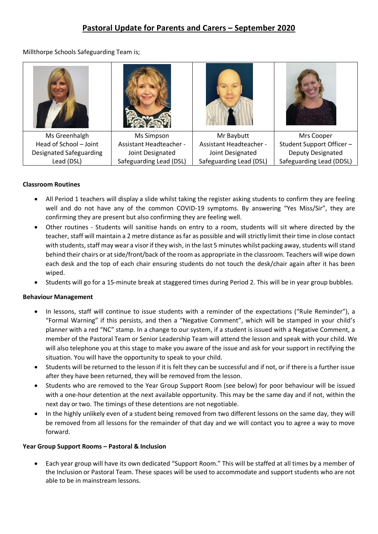Millthorpe Schools Safeguarding Team is;

| Ms Greenhalgh                  | Ms Simpson                     | Mr Baybutt                     | Mrs Cooper                |
|--------------------------------|--------------------------------|--------------------------------|---------------------------|
| Head of School - Joint         | <b>Assistant Headteacher -</b> | <b>Assistant Headteacher -</b> | Student Support Officer - |
| <b>Designated Safeguarding</b> | Joint Designated               | Joint Designated               | Deputy Designated         |
| Lead (DSL)                     | Safeguarding Lead (DSL)        | Safeguarding Lead (DSL)        | Safeguarding Lead (DDSL)  |

## **Classroom Routines**

- All Period 1 teachers will display a slide whilst taking the register asking students to confirm they are feeling well and do not have any of the common COVID-19 symptoms. By answering "Yes Miss/Sir", they are confirming they are present but also confirming they are feeling well.
- Other routines Students will sanitise hands on entry to a room, students will sit where directed by the teacher, staff will maintain a 2 metre distance as far as possible and will strictly limit their time in close contact with students, staff may wear a visor if they wish, in the last 5 minutes whilst packing away, students will stand behind their chairs or at side/front/back of the room as appropriate in the classroom. Teachers will wipe down each desk and the top of each chair ensuring students do not touch the desk/chair again after it has been wiped.
- Students will go for a 15-minute break at staggered times during Period 2. This will be in year group bubbles.

### **Behaviour Management**

- In lessons, staff will continue to issue students with a reminder of the expectations ("Rule Reminder"), a "Formal Warning" if this persists, and then a "Negative Comment", which will be stamped in your child's planner with a red "NC" stamp. In a change to our system, if a student is issued with a Negative Comment, a member of the Pastoral Team or Senior Leadership Team will attend the lesson and speak with your child. We will also telephone you at this stage to make you aware of the issue and ask for your support in rectifying the situation. You will have the opportunity to speak to your child.
- Students will be returned to the lesson if it is felt they can be successful and if not, or if there is a further issue after they have been returned, they will be removed from the lesson.
- Students who are removed to the Year Group Support Room (see below) for poor behaviour will be issued with a one-hour detention at the next available opportunity. This may be the same day and if not, within the next day or two. The timings of these detentions are not negotiable.
- In the highly unlikely even of a student being removed from two different lessons on the same day, they will be removed from all lessons for the remainder of that day and we will contact you to agree a way to move forward.

### **Year Group Support Rooms – Pastoral & Inclusion**

• Each year group will have its own dedicated "Support Room." This will be staffed at all times by a member of the Inclusion or Pastoral Team. These spaces will be used to accommodate and support students who are not able to be in mainstream lessons.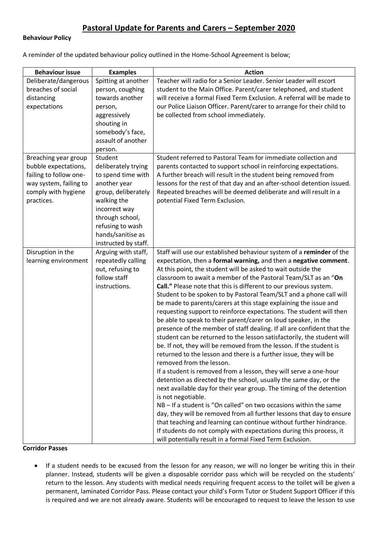#### **Behaviour Policy**

A reminder of the updated behaviour policy outlined in the Home-School Agreement is below;

| <b>Behaviour issue</b>                        | <b>Examples</b>                     | <b>Action</b>                                                                                                                              |
|-----------------------------------------------|-------------------------------------|--------------------------------------------------------------------------------------------------------------------------------------------|
| Deliberate/dangerous                          | Spitting at another                 | Teacher will radio for a Senior Leader. Senior Leader will escort                                                                          |
| breaches of social                            | person, coughing                    | student to the Main Office. Parent/carer telephoned, and student                                                                           |
| distancing                                    | towards another                     | will receive a formal Fixed Term Exclusion. A referral will be made to                                                                     |
| expectations                                  | person,                             | our Police Liaison Officer. Parent/carer to arrange for their child to                                                                     |
|                                               | aggressively                        | be collected from school immediately.                                                                                                      |
|                                               | shouting in                         |                                                                                                                                            |
|                                               | somebody's face,                    |                                                                                                                                            |
|                                               | assault of another                  |                                                                                                                                            |
|                                               | person.                             |                                                                                                                                            |
| Breaching year group                          | Student                             | Student referred to Pastoral Team for immediate collection and                                                                             |
| bubble expectations,                          | deliberately trying                 | parents contacted to support school in reinforcing expectations.                                                                           |
| failing to follow one-                        | to spend time with                  | A further breach will result in the student being removed from                                                                             |
| way system, failing to<br>comply with hygiene | another year<br>group, deliberately | lessons for the rest of that day and an after-school detention issued.<br>Repeated breaches will be deemed deliberate and will result in a |
| practices.                                    | walking the                         | potential Fixed Term Exclusion.                                                                                                            |
|                                               | incorrect way                       |                                                                                                                                            |
|                                               | through school,                     |                                                                                                                                            |
|                                               | refusing to wash                    |                                                                                                                                            |
|                                               | hands/sanitise as                   |                                                                                                                                            |
|                                               | instructed by staff.                |                                                                                                                                            |
| Disruption in the                             | Arguing with staff,                 | Staff will use our established behaviour system of a reminder of the                                                                       |
| learning environment                          | repeatedly calling                  | expectation, then a formal warning, and then a negative comment.                                                                           |
|                                               | out, refusing to                    | At this point, the student will be asked to wait outside the                                                                               |
|                                               | follow staff                        | classroom to await a member of the Pastoral Team/SLT as an "On                                                                             |
|                                               | instructions.                       | Call." Please note that this is different to our previous system.                                                                          |
|                                               |                                     | Student to be spoken to by Pastoral Team/SLT and a phone call will                                                                         |
|                                               |                                     | be made to parents/carers at this stage explaining the issue and                                                                           |
|                                               |                                     | requesting support to reinforce expectations. The student will then                                                                        |
|                                               |                                     | be able to speak to their parent/carer on loud speaker, in the                                                                             |
|                                               |                                     | presence of the member of staff dealing. If all are confident that the                                                                     |
|                                               |                                     | student can be returned to the lesson satisfactorily, the student will                                                                     |
|                                               |                                     | be. If not, they will be removed from the lesson. If the student is                                                                        |
|                                               |                                     | returned to the lesson and there is a further issue, they will be                                                                          |
|                                               |                                     | removed from the lesson.                                                                                                                   |
|                                               |                                     | If a student is removed from a lesson, they will serve a one-hour                                                                          |
|                                               |                                     | detention as directed by the school, usually the same day, or the                                                                          |
|                                               |                                     | next available day for their year group. The timing of the detention<br>is not negotiable.                                                 |
|                                               |                                     | NB - If a student is "On called" on two occasions within the same                                                                          |
|                                               |                                     | day, they will be removed from all further lessons that day to ensure                                                                      |
|                                               |                                     | that teaching and learning can continue without further hindrance.                                                                         |
|                                               |                                     | If students do not comply with expectations during this process, it                                                                        |
|                                               |                                     | will potentially result in a formal Fixed Term Exclusion.                                                                                  |

#### **Corridor Passes**

• If a student needs to be excused from the lesson for any reason, we will no longer be writing this in their planner. Instead, students will be given a disposable corridor pass which will be recycled on the students' return to the lesson. Any students with medical needs requiring frequent access to the toilet will be given a permanent, laminated Corridor Pass. Please contact your child's Form Tutor or Student Support Officer if this is required and we are not already aware. Students will be encouraged to request to leave the lesson to use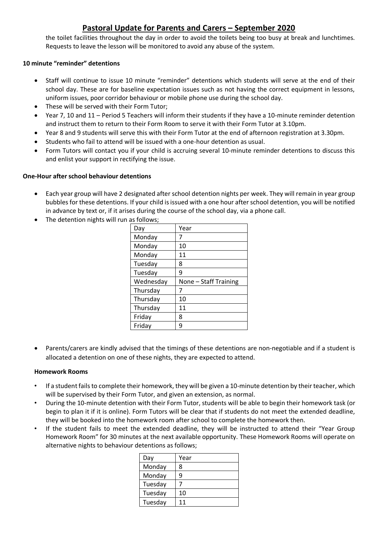the toilet facilities throughout the day in order to avoid the toilets being too busy at break and lunchtimes. Requests to leave the lesson will be monitored to avoid any abuse of the system.

### **10 minute "reminder" detentions**

- Staff will continue to issue 10 minute "reminder" detentions which students will serve at the end of their school day. These are for baseline expectation issues such as not having the correct equipment in lessons, uniform issues, poor corridor behaviour or mobile phone use during the school day.
- These will be served with their Form Tutor;
- Year 7, 10 and 11 Period 5 Teachers will inform their students if they have a 10-minute reminder detention and instruct them to return to their Form Room to serve it with their Form Tutor at 3.10pm.
- Year 8 and 9 students will serve this with their Form Tutor at the end of afternoon registration at 3.30pm.
- Students who fail to attend will be issued with a one-hour detention as usual.
- Form Tutors will contact you if your child is accruing several 10-minute reminder detentions to discuss this and enlist your support in rectifying the issue.

#### **One-Hour after school behaviour detentions**

- Each year group will have 2 designated after school detention nights per week. They will remain in year group bubbles for these detentions. If your child is issued with a one hour after school detention, you will be notified in advance by text or, if it arises during the course of the school day, via a phone call.
- The detention nights will run as follows;

| Day       | Year                  |
|-----------|-----------------------|
| Monday    |                       |
| Monday    | 10                    |
| Monday    | 11                    |
| Tuesday   | 8                     |
| Tuesday   | 9                     |
|           |                       |
| Wednesday | None - Staff Training |
| Thursday  |                       |
| Thursday  | 10                    |
| Thursday  | 11                    |
| Friday    | 8                     |

• Parents/carers are kindly advised that the timings of these detentions are non-negotiable and if a student is allocated a detention on one of these nights, they are expected to attend.

#### **Homework Rooms**

- If a student fails to complete their homework, they will be given a 10-minute detention by their teacher, which will be supervised by their Form Tutor, and given an extension, as normal.
- During the 10-minute detention with their Form Tutor, students will be able to begin their homework task (or begin to plan it if it is online). Form Tutors will be clear that if students do not meet the extended deadline, they will be booked into the homework room after school to complete the homework then.
- If the student fails to meet the extended deadline, they will be instructed to attend their "Year Group Homework Room" for 30 minutes at the next available opportunity. These Homework Rooms will operate on alternative nights to behaviour detentions as follows;

| Day     | Year |
|---------|------|
| Monday  | ጸ    |
| Monday  |      |
| Tuesday |      |
| Tuesday | 10   |
| Tuesday | 11   |